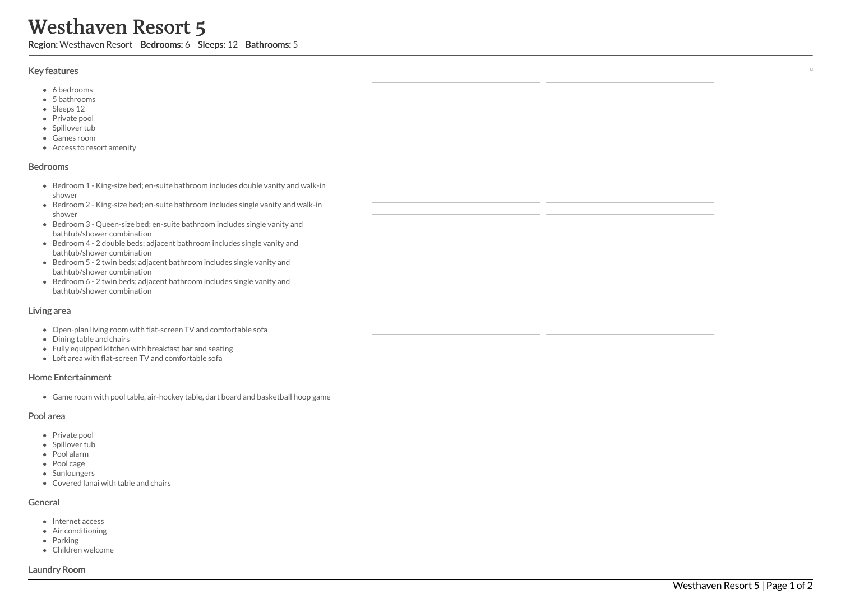# Westhaven Resort 5

Region: Westhaven Resort Bedrooms: 6 Sleeps: 12 Bathrooms: 5

## Key features

- 6 b e d r o o m s
- 5 b a t h r o o m s
- Sleeps 12
- Private pool
- Spillover tub
- Games room
- Access to resort amenity

## **Bedrooms**

- Bedroom 1 King-size bed; en-suite bathroom includes double vanity and walk-in s h o w e r
- Bedroom 2 King-size bed; en-suite bathroom includes single vanity and walk-in s h o w e r
- Bedroom 3 Queen-size bed; en-suite bathroom includes single vanity and bathtub/shower combination
- Bedroom 4 2 double beds; adjacent bathroom includes single vanity and bathtub/shower combination
- Bedroom 5 2 twin beds; adjacent bathroom includes single vanity and bathtub/shower combination
- Bedroom 6 2 twin beds; adjacent bathroom includes single vanity and bathtub/shower combination

## Living area

- Open-plan living room with flat-screen TV and comfortable sofa
- Dining table and chairs
- Fully equipped kitchen with breakfast bar and seating
- Loft area with flat-screen TV and comfortable sofa

# Home Entertainment

Game room with pool table, air-hockey table, dart board and basketball hoop game

## Pool area

- Private pool
- Spillover tub
- Pool alarm
- Pool cage
- Sunloungers
- Covered lanai with table and chairs

# General

- Internet access
- Air conditioning
- Parking
- Children welcome